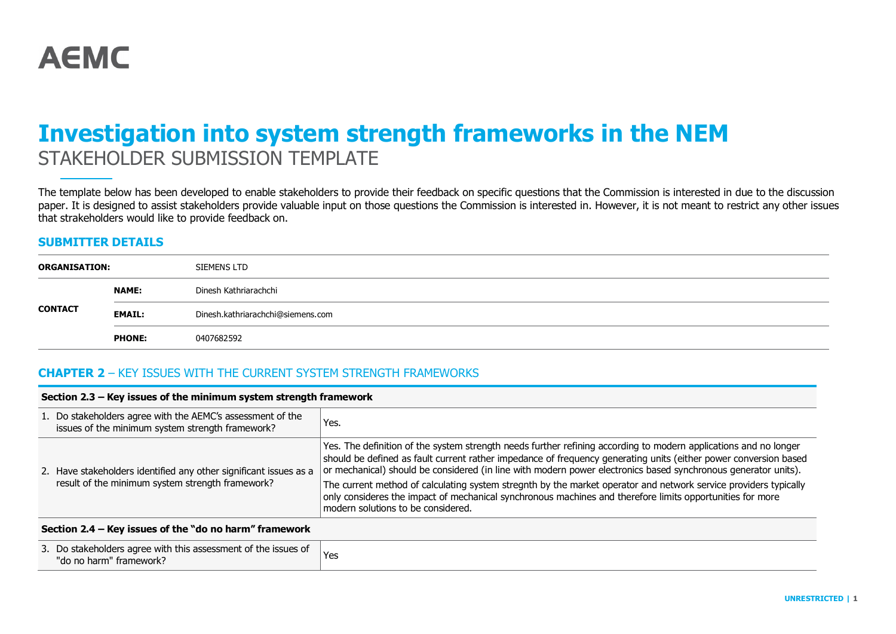# **Investigation into system strength frameworks in the NEM** STAKEHOLDER SUBMISSION TEMPLATE

The template below has been developed to enable stakeholders to provide their feedback on specific questions that the Commission is interested in due to the discussion paper. It is designed to assist stakeholders provide valuable input on those questions the Commission is interested in. However, it is not meant to restrict any other issues that strakeholders would like to provide feedback on.

#### **SUBMITTER DETAILS**

| <b>ORGANISATION:</b> |               | SIEMENS LTD                       |
|----------------------|---------------|-----------------------------------|
|                      | <b>NAME:</b>  | Dinesh Kathriarachchi             |
| <b>CONTACT</b>       | <b>EMAIL:</b> | Dinesh.kathriarachchi@siemens.com |
|                      | <b>PHONE:</b> | 0407682592                        |

#### **CHAPTER 2** – KEY ISSUES WITH THE CURRENT SYSTEM STRENGTH FRAMEWORKS

| Section 2.3 – Key issues of the minimum system strength framework                                              |                                                                                                                                                                                                                                                                                                                                                        |  |
|----------------------------------------------------------------------------------------------------------------|--------------------------------------------------------------------------------------------------------------------------------------------------------------------------------------------------------------------------------------------------------------------------------------------------------------------------------------------------------|--|
| 1. Do stakeholders agree with the AEMC's assessment of the<br>issues of the minimum system strength framework? | Yes.                                                                                                                                                                                                                                                                                                                                                   |  |
| 2. Have stakeholders identified any other significant issues as a                                              | Yes. The definition of the system strength needs further refining according to modern applications and no longer<br>should be defined as fault current rather impedance of frequency generating units (either power conversion based<br>or mechanical) should be considered (in line with modern power electronics based synchronous generator units). |  |
| result of the minimum system strength framework?                                                               | The current method of calculating system stregnth by the market operator and network service providers typically<br>only consideres the impact of mechanical synchronous machines and therefore limits opportunities for more<br>modern solutions to be considered.                                                                                    |  |
| Section 2.4 – Kev issues of the "do no harm" framework                                                         |                                                                                                                                                                                                                                                                                                                                                        |  |

# 3. Do stakeholders agree with this assessment of the issues of Do stake inducts agree with this assessment of the issues of Yes<br>"do no harm" framework?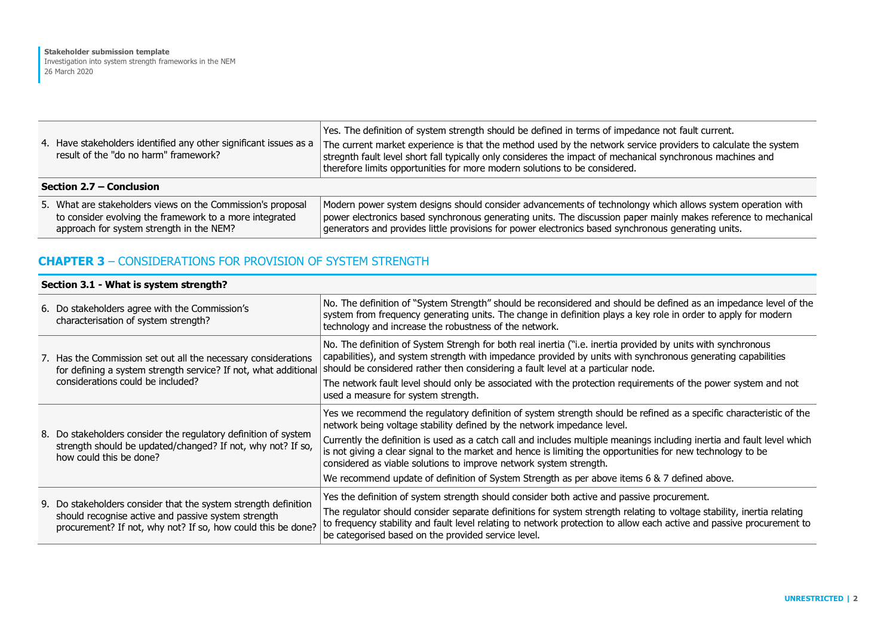| 4. Have stakeholders identified any other significant issues as a<br>result of the "do no harm" framework?                                                         | Yes. The definition of system strength should be defined in terms of impedance not fault current.<br>The current market experience is that the method used by the network service providers to calculate the system<br>stregnth fault level short fall typically only consideres the impact of mechanical synchronous machines and<br>therefore limits opportunities for more modern solutions to be considered. |  |
|--------------------------------------------------------------------------------------------------------------------------------------------------------------------|------------------------------------------------------------------------------------------------------------------------------------------------------------------------------------------------------------------------------------------------------------------------------------------------------------------------------------------------------------------------------------------------------------------|--|
| Section 2.7 – Conclusion                                                                                                                                           |                                                                                                                                                                                                                                                                                                                                                                                                                  |  |
| 5. What are stakeholders views on the Commission's proposal<br>to consider evolving the framework to a more integrated<br>approach for system strength in the NEM? | Modern power system designs should consider advancements of technolongy which allows system operation with<br>power electronics based synchronous generating units. The discussion paper mainly makes reference to mechanical<br>generators and provides little provisions for power electronics based synchronous generating units.                                                                             |  |

## **CHAPTER 3** – CONSIDERATIONS FOR PROVISION OF SYSTEM STRENGTH

#### **Section 3.1 - What is system strength?**

| 6. Do stakeholders agree with the Commission's<br>characterisation of system strength?                                                                                                 | No. The definition of "System Strength" should be reconsidered and should be defined as an impedance level of the<br>system from frequency generating units. The change in definition plays a key role in order to apply for modern<br>technology and increase the robustness of the network.                                                                                                                                                                                                                                                                                                                  |
|----------------------------------------------------------------------------------------------------------------------------------------------------------------------------------------|----------------------------------------------------------------------------------------------------------------------------------------------------------------------------------------------------------------------------------------------------------------------------------------------------------------------------------------------------------------------------------------------------------------------------------------------------------------------------------------------------------------------------------------------------------------------------------------------------------------|
| 7. Has the Commission set out all the necessary considerations<br>for defining a system strength service? If not, what additional<br>considerations could be included?                 | No. The definition of System Strengh for both real inertia ("i.e. inertia provided by units with synchronous<br>capabilities), and system strength with impedance provided by units with synchronous generating capabilities<br>should be considered rather then considering a fault level at a particular node.<br>The network fault level should only be associated with the protection requirements of the power system and not<br>used a measure for system strength.                                                                                                                                      |
| 8. Do stakeholders consider the regulatory definition of system<br>strength should be updated/changed? If not, why not? If so,<br>how could this be done?                              | Yes we recommend the regulatory definition of system strength should be refined as a specific characteristic of the<br>network being voltage stability defined by the network impedance level.<br>Currently the definition is used as a catch call and includes multiple meanings including inertia and fault level which<br>is not giving a clear signal to the market and hence is limiting the opportunities for new technology to be<br>considered as viable solutions to improve network system strength.<br>We recommend update of definition of System Strength as per above items 6 & 7 defined above. |
| 9. Do stakeholders consider that the system strength definition<br>should recognise active and passive system strength<br>procurement? If not, why not? If so, how could this be done? | Yes the definition of system strength should consider both active and passive procurement.<br>The regulator should consider separate definitions for system strength relating to voltage stability, inertia relating<br>to frequency stability and fault level relating to network protection to allow each active and passive procurement to<br>be categorised based on the provided service level.                                                                                                                                                                                                           |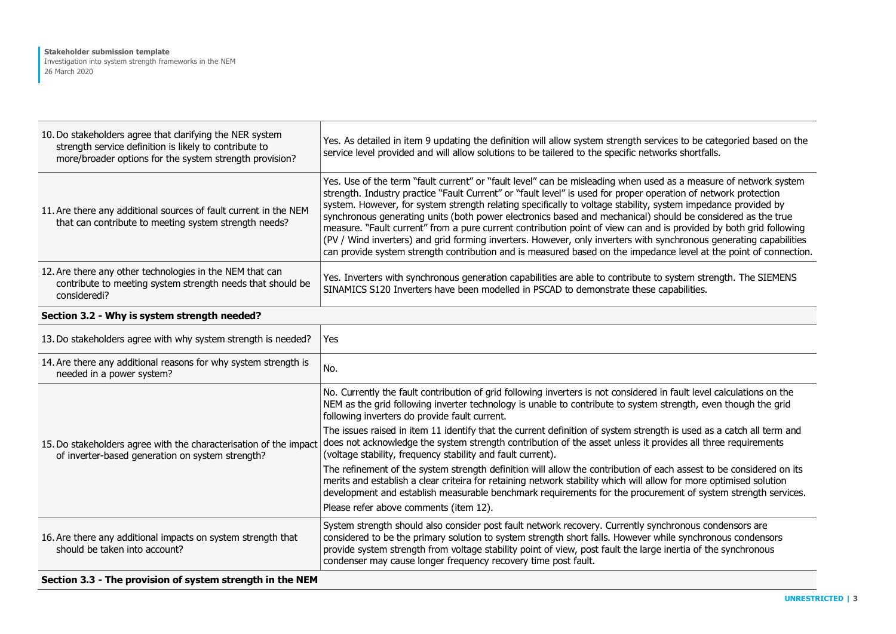| 10. Do stakeholders agree that clarifying the NER system<br>strength service definition is likely to contribute to<br>more/broader options for the system strength provision? | Yes. As detailed in item 9 updating the definition will allow system strength services to be categoried based on the<br>service level provided and will allow solutions to be tailered to the specific networks shortfalls.                                                                                                                                                                                                                                                                                                                                                                                                                                                                                                                                                                                                          |
|-------------------------------------------------------------------------------------------------------------------------------------------------------------------------------|--------------------------------------------------------------------------------------------------------------------------------------------------------------------------------------------------------------------------------------------------------------------------------------------------------------------------------------------------------------------------------------------------------------------------------------------------------------------------------------------------------------------------------------------------------------------------------------------------------------------------------------------------------------------------------------------------------------------------------------------------------------------------------------------------------------------------------------|
| 11. Are there any additional sources of fault current in the NEM<br>that can contribute to meeting system strength needs?                                                     | Yes. Use of the term "fault current" or "fault level" can be misleading when used as a measure of network system<br>strength. Industry practice "Fault Current" or "fault level" is used for proper operation of network protection<br>system. However, for system strength relating specifically to voltage stability, system impedance provided by<br>synchronous generating units (both power electronics based and mechanical) should be considered as the true<br>measure. "Fault current" from a pure current contribution point of view can and is provided by both grid following<br>(PV / Wind inverters) and grid forming inverters. However, only inverters with synchronous generating capabilities<br>can provide system strength contribution and is measured based on the impedance level at the point of connection. |
| 12. Are there any other technologies in the NEM that can<br>contribute to meeting system strength needs that should be<br>consideredi?                                        | Yes. Inverters with synchronous generation capabilities are able to contribute to system strength. The SIEMENS<br>SINAMICS S120 Inverters have been modelled in PSCAD to demonstrate these capabilities.                                                                                                                                                                                                                                                                                                                                                                                                                                                                                                                                                                                                                             |

## **Section 3.2 - Why is system strength needed?**

| 13. Do stakeholders agree with why system strength is needed?                                                         | Yes                                                                                                                                                                                                                                                                                                                                                                                                     |
|-----------------------------------------------------------------------------------------------------------------------|---------------------------------------------------------------------------------------------------------------------------------------------------------------------------------------------------------------------------------------------------------------------------------------------------------------------------------------------------------------------------------------------------------|
| 14. Are there any additional reasons for why system strength is<br>needed in a power system?                          | No.                                                                                                                                                                                                                                                                                                                                                                                                     |
|                                                                                                                       | No. Currently the fault contribution of grid following inverters is not considered in fault level calculations on the<br>NEM as the grid following inverter technology is unable to contribute to system strength, even though the grid<br>following inverters do provide fault current.                                                                                                                |
| 15. Do stakeholders agree with the characterisation of the impact<br>of inverter-based generation on system strength? | The issues raised in item 11 identify that the current definition of system strength is used as a catch all term and<br>does not acknowledge the system strength contribution of the asset unless it provides all three requirements<br>(voltage stability, frequency stability and fault current).                                                                                                     |
|                                                                                                                       | The refinement of the system strength definition will allow the contribution of each assest to be considered on its<br>merits and establish a clear criteira for retaining network stability which will allow for more optimised solution<br>development and establish measurable benchmark requirements for the procurement of system strength services.                                               |
|                                                                                                                       | Please refer above comments (item 12).                                                                                                                                                                                                                                                                                                                                                                  |
| 16. Are there any additional impacts on system strength that<br>should be taken into account?                         | System strength should also consider post fault network recovery. Currently synchronous condensors are<br>considered to be the primary solution to system strength short falls. However while synchronous condensors<br>provide system strength from voltage stability point of view, post fault the large inertia of the synchronous<br>condenser may cause longer frequency recovery time post fault. |

#### **Section 3.3 - The provision of system strength in the NEM**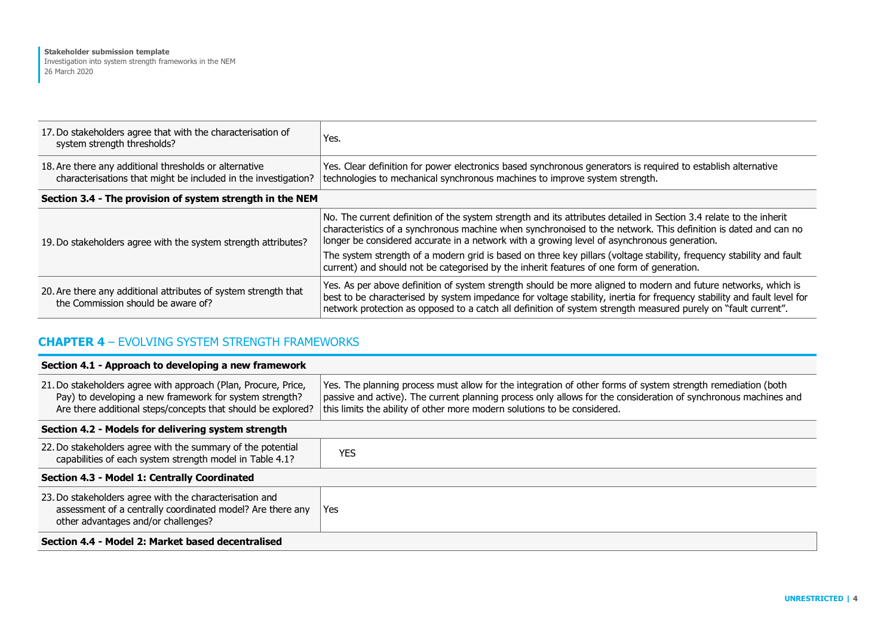| 17. Do stakeholders agree that with the characterisation of<br>system strength thresholds?                               | Yes.                                                                                                                                                                                                                                                                                                                                                        |  |
|--------------------------------------------------------------------------------------------------------------------------|-------------------------------------------------------------------------------------------------------------------------------------------------------------------------------------------------------------------------------------------------------------------------------------------------------------------------------------------------------------|--|
| 18. Are there any additional thresholds or alternative<br>characterisations that might be included in the investigation? | Yes. Clear definition for power electronics based synchronous generators is required to establish alternative<br>technologies to mechanical synchronous machines to improve system strength.                                                                                                                                                                |  |
| Section 3.4 - The provision of system strength in the NEM                                                                |                                                                                                                                                                                                                                                                                                                                                             |  |
| 19. Do stakeholders agree with the system strength attributes?                                                           | No. The current definition of the system strength and its attributes detailed in Section 3.4 relate to the inherit<br>characteristics of a synchronous machine when synchronoised to the network. This definition is dated and can no<br>longer be considered accurate in a network with a growing level of asynchronous generation.                        |  |
|                                                                                                                          | The system strength of a modern grid is based on three key pillars (voltage stability, frequency stability and fault<br>current) and should not be categorised by the inherit features of one form of generation.                                                                                                                                           |  |
| 20. Are there any additional attributes of system strength that<br>the Commission should be aware of?                    | Yes. As per above definition of system strength should be more aligned to modern and future networks, which is<br>best to be characterised by system impedance for voltage stability, inertia for frequency stability and fault level for<br>network protection as opposed to a catch all definition of system strength measured purely on "fault current". |  |

### **CHAPTER 4** – EVOLVING SYSTEM STRENGTH FRAMEWORKS

#### **Section 4.1 - Approach to developing a new framework**

| 21. Do stakeholders agree with approach (Plan, Procure, Price,<br>Pay) to developing a new framework for system strength?<br>Are there additional steps/concepts that should be explored? | Yes. The planning process must allow for the integration of other forms of system strength remediation (both<br>passive and active). The current planning process only allows for the consideration of synchronous machines and<br>this limits the ability of other more modern solutions to be considered. |  |
|-------------------------------------------------------------------------------------------------------------------------------------------------------------------------------------------|-------------------------------------------------------------------------------------------------------------------------------------------------------------------------------------------------------------------------------------------------------------------------------------------------------------|--|
| Section 4.2 - Models for delivering system strength                                                                                                                                       |                                                                                                                                                                                                                                                                                                             |  |
| 22. Do stakeholders agree with the summary of the potential<br>capabilities of each system strength model in Table 4.1?                                                                   | <b>YES</b>                                                                                                                                                                                                                                                                                                  |  |
| Section 4.3 - Model 1: Centrally Coordinated                                                                                                                                              |                                                                                                                                                                                                                                                                                                             |  |
| 23. Do stakeholders agree with the characterisation and<br>assessment of a centrally coordinated model? Are there any<br>other advantages and/or challenges?                              | Yes                                                                                                                                                                                                                                                                                                         |  |
| Section 4.4 - Model 2: Market based decentralised                                                                                                                                         |                                                                                                                                                                                                                                                                                                             |  |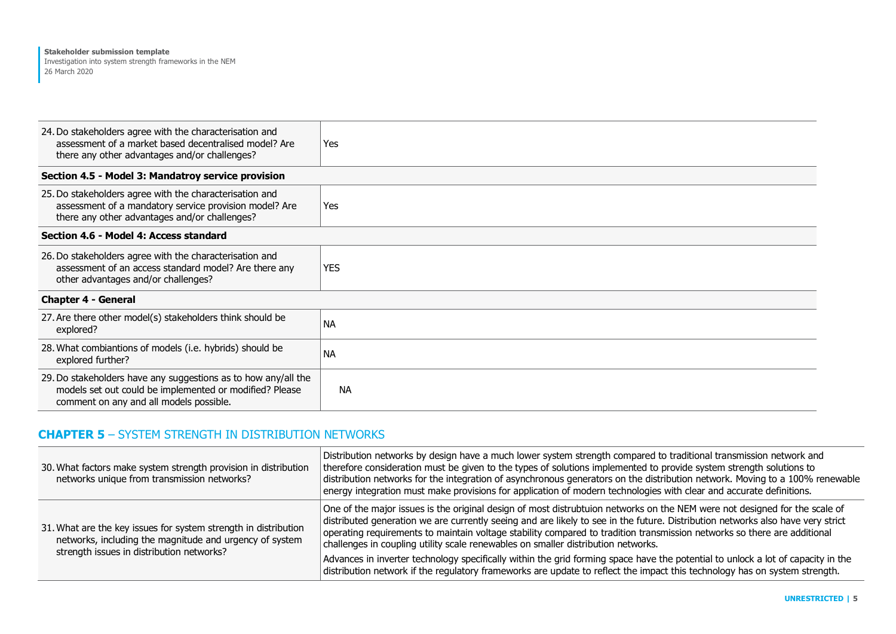| 24. Do stakeholders agree with the characterisation and<br>assessment of a market based decentralised model? Are<br>there any other advantages and/or challenges?    | Yes       |  |
|----------------------------------------------------------------------------------------------------------------------------------------------------------------------|-----------|--|
| Section 4.5 - Model 3: Mandatroy service provision                                                                                                                   |           |  |
| 25. Do stakeholders agree with the characterisation and<br>assessment of a mandatory service provision model? Are<br>there any other advantages and/or challenges?   | Yes       |  |
| Section 4.6 - Model 4: Access standard                                                                                                                               |           |  |
| 26. Do stakeholders agree with the characterisation and<br>assessment of an access standard model? Are there any<br>other advantages and/or challenges?              | YES.      |  |
| <b>Chapter 4 - General</b>                                                                                                                                           |           |  |
| 27. Are there other model(s) stakeholders think should be<br>explored?                                                                                               | <b>NA</b> |  |
| 28. What combiantions of models (i.e. hybrids) should be<br>explored further?                                                                                        | <b>NA</b> |  |
| 29. Do stakeholders have any suggestions as to how any/all the<br>models set out could be implemented or modified? Please<br>comment on any and all models possible. | <b>NA</b> |  |

# **CHAPTER 5** – SYSTEM STRENGTH IN DISTRIBUTION NETWORKS

| 30. What factors make system strength provision in distribution<br>networks unique from transmission networks?                                                          | Distribution networks by design have a much lower system strength compared to traditional transmission network and<br>therefore consideration must be given to the types of solutions implemented to provide system strength solutions to<br>distribution networks for the integration of asynchronous generators on the distribution network. Moving to a 100% renewable<br>energy integration must make provisions for application of modern technologies with clear and accurate definitions. |
|-------------------------------------------------------------------------------------------------------------------------------------------------------------------------|--------------------------------------------------------------------------------------------------------------------------------------------------------------------------------------------------------------------------------------------------------------------------------------------------------------------------------------------------------------------------------------------------------------------------------------------------------------------------------------------------|
| 31. What are the key issues for system strength in distribution<br>networks, including the magnitude and urgency of system<br>strength issues in distribution networks? | One of the major issues is the original design of most distrubtuion networks on the NEM were not designed for the scale of<br>distributed generation we are currently seeing and are likely to see in the future. Distribution networks also have very strict<br>operating requirements to maintain voltage stability compared to tradition transmission networks so there are additional<br>challenges in coupling utility scale renewables on smaller distribution networks.                   |
|                                                                                                                                                                         | Advances in inverter technology specifically within the grid forming space have the potential to unlock a lot of capacity in the<br>distribution network if the regulatory frameworks are update to reflect the impact this technology has on system strength.                                                                                                                                                                                                                                   |